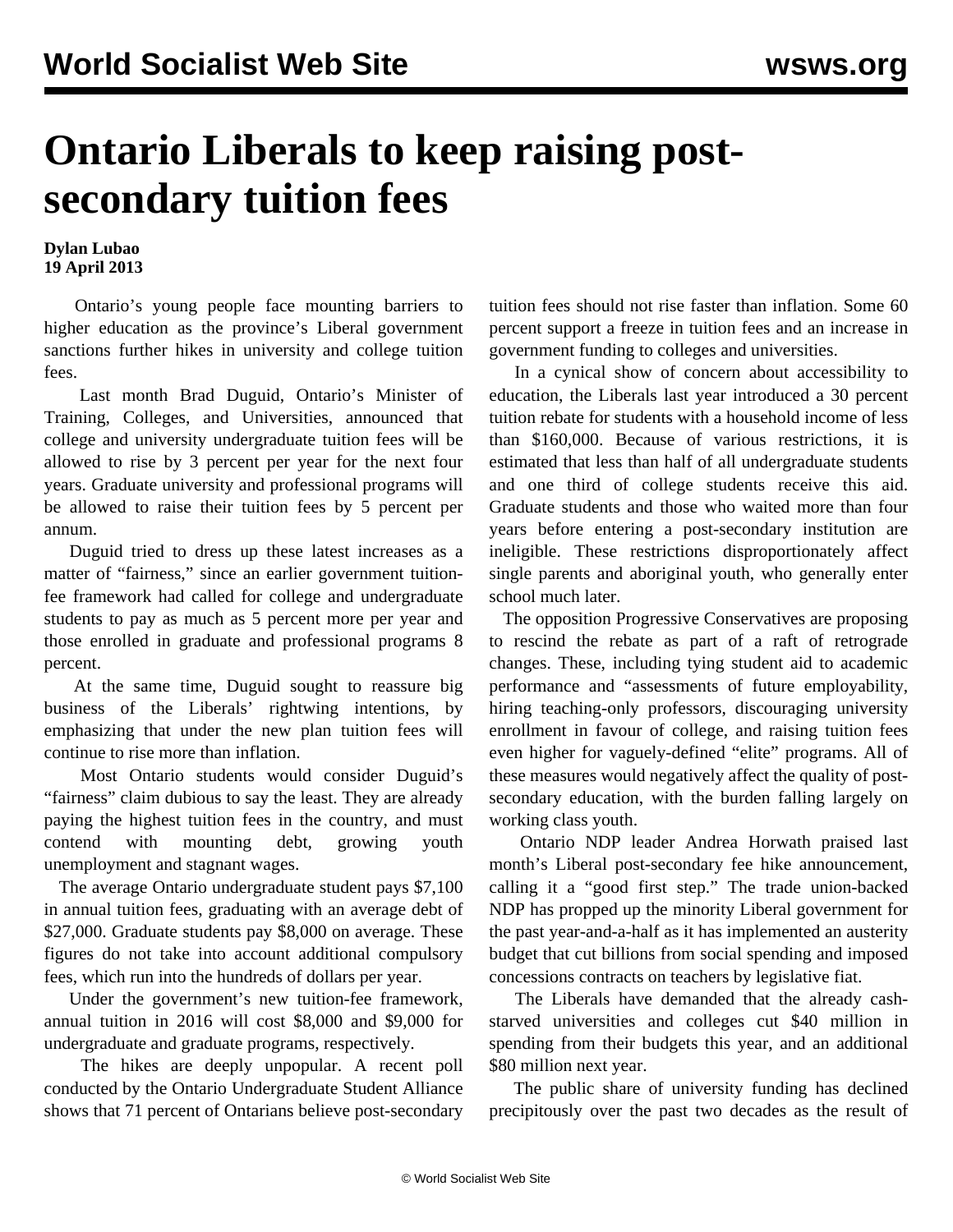## **Ontario Liberals to keep raising postsecondary tuition fees**

## **Dylan Lubao 19 April 2013**

 Ontario's young people face mounting barriers to higher education as the province's Liberal government sanctions further hikes in university and college tuition fees.

 Last month Brad Duguid, Ontario's Minister of Training, Colleges, and Universities, announced that college and university undergraduate tuition fees will be allowed to rise by 3 percent per year for the next four years. Graduate university and professional programs will be allowed to raise their tuition fees by 5 percent per annum.

 Duguid tried to dress up these latest increases as a matter of "fairness," since an earlier government tuitionfee framework had called for college and undergraduate students to pay as much as 5 percent more per year and those enrolled in graduate and professional programs 8 percent.

 At the same time, Duguid sought to reassure big business of the Liberals' rightwing intentions, by emphasizing that under the new plan tuition fees will continue to rise more than inflation.

 Most Ontario students would consider Duguid's "fairness" claim dubious to say the least. They are already paying the highest tuition fees in the country, and must contend with mounting debt, growing youth unemployment and stagnant wages.

 The average Ontario undergraduate student pays \$7,100 in annual tuition fees, graduating with an average debt of \$27,000. Graduate students pay \$8,000 on average. These figures do not take into account additional compulsory fees, which run into the hundreds of dollars per year.

 Under the government's new tuition-fee framework, annual tuition in 2016 will cost \$8,000 and \$9,000 for undergraduate and graduate programs, respectively.

 The hikes are deeply unpopular. A recent poll conducted by the Ontario Undergraduate Student Alliance shows that 71 percent of Ontarians believe post-secondary tuition fees should not rise faster than inflation. Some 60 percent support a freeze in tuition fees and an increase in government funding to colleges and universities.

 In a cynical show of concern about accessibility to education, the Liberals last year introduced a 30 percent tuition rebate for students with a household income of less than \$160,000. Because of various restrictions, it is estimated that less than half of all undergraduate students and one third of college students receive this aid. Graduate students and those who waited more than four years before entering a post-secondary institution are ineligible. These restrictions disproportionately affect single parents and aboriginal youth, who generally enter school much later.

 The opposition Progressive Conservatives are proposing to rescind the rebate as part of a raft of retrograde changes. These, including tying student aid to academic performance and "assessments of future employability, hiring teaching-only professors, discouraging university enrollment in favour of college, and raising tuition fees even higher for vaguely-defined "elite" programs. All of these measures would negatively affect the quality of postsecondary education, with the burden falling largely on working class youth.

 Ontario NDP leader Andrea Horwath praised last month's Liberal post-secondary fee hike announcement, calling it a "good first step." The trade union-backed NDP has propped up the minority Liberal government for the past year-and-a-half as it has implemented an austerity budget that cut billions from social spending and imposed concessions contracts on teachers by legislative fiat.

 The Liberals have demanded that the already cashstarved universities and colleges cut \$40 million in spending from their budgets this year, and an additional \$80 million next year.

 The public share of university funding has declined precipitously over the past two decades as the result of